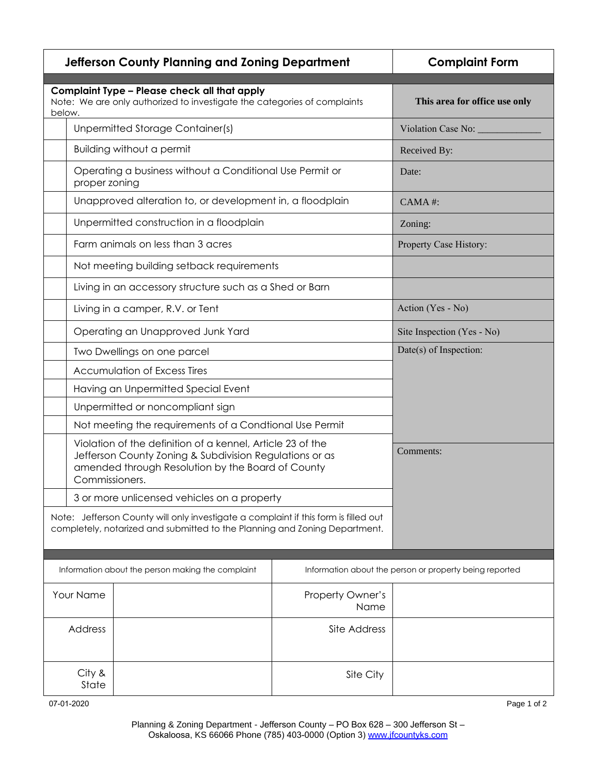|                                                   |                                                                                                                                                                                              | <b>Jefferson County Planning and Zoning Department</b>                                                                                                            | <b>Complaint Form</b>                                   |                            |
|---------------------------------------------------|----------------------------------------------------------------------------------------------------------------------------------------------------------------------------------------------|-------------------------------------------------------------------------------------------------------------------------------------------------------------------|---------------------------------------------------------|----------------------------|
| below.                                            |                                                                                                                                                                                              | Complaint Type - Please check all that apply<br>Note: We are only authorized to investigate the categories of complaints                                          | This area for office use only                           |                            |
|                                                   | <b>Unpermitted Storage Container(s)</b>                                                                                                                                                      |                                                                                                                                                                   |                                                         | Violation Case No: _____   |
|                                                   | <b>Building without a permit</b>                                                                                                                                                             |                                                                                                                                                                   |                                                         | Received By:               |
|                                                   | proper zoning                                                                                                                                                                                | Operating a business without a Conditional Use Permit or                                                                                                          |                                                         | Date:                      |
|                                                   | Unapproved alteration to, or development in, a floodplain                                                                                                                                    |                                                                                                                                                                   |                                                         | $CAMA$ #:                  |
|                                                   | Unpermitted construction in a floodplain                                                                                                                                                     |                                                                                                                                                                   |                                                         | Zoning:                    |
|                                                   |                                                                                                                                                                                              | Farm animals on less than 3 acres                                                                                                                                 | Property Case History:                                  |                            |
|                                                   |                                                                                                                                                                                              | Not meeting building setback requirements                                                                                                                         |                                                         |                            |
|                                                   |                                                                                                                                                                                              | Living in an accessory structure such as a Shed or Barn                                                                                                           |                                                         |                            |
|                                                   | Living in a camper, R.V. or Tent                                                                                                                                                             |                                                                                                                                                                   |                                                         | Action (Yes - No)          |
|                                                   | Operating an Unapproved Junk Yard                                                                                                                                                            |                                                                                                                                                                   |                                                         | Site Inspection (Yes - No) |
|                                                   | Two Dwellings on one parcel                                                                                                                                                                  |                                                                                                                                                                   |                                                         | Date(s) of Inspection:     |
|                                                   | <b>Accumulation of Excess Tires</b>                                                                                                                                                          |                                                                                                                                                                   |                                                         |                            |
|                                                   | Having an Unpermitted Special Event                                                                                                                                                          |                                                                                                                                                                   |                                                         |                            |
|                                                   | Unpermitted or noncompliant sign                                                                                                                                                             |                                                                                                                                                                   |                                                         |                            |
|                                                   | Not meeting the requirements of a Condtional Use Permit                                                                                                                                      |                                                                                                                                                                   |                                                         |                            |
|                                                   | Violation of the definition of a kennel, Article 23 of the<br>Jefferson County Zoning & Subdivision Regulations or as<br>amended through Resolution by the Board of County<br>Commissioners. |                                                                                                                                                                   |                                                         | Comments:                  |
|                                                   |                                                                                                                                                                                              | 3 or more unlicensed vehicles on a property                                                                                                                       |                                                         |                            |
|                                                   |                                                                                                                                                                                              | Note: Jefferson County will only investigate a complaint if this form is filled out<br>completely, notarized and submitted to the Planning and Zoning Department. |                                                         |                            |
|                                                   |                                                                                                                                                                                              |                                                                                                                                                                   | Information about the person or property being reported |                            |
| Information about the person making the complaint |                                                                                                                                                                                              |                                                                                                                                                                   |                                                         |                            |
| Your Name                                         |                                                                                                                                                                                              |                                                                                                                                                                   | Property Owner's<br>Name                                |                            |
|                                                   | Address                                                                                                                                                                                      |                                                                                                                                                                   | Site Address                                            |                            |
| City &<br>State                                   |                                                                                                                                                                                              |                                                                                                                                                                   | Site City                                               |                            |

07-01-2020 Page 1 of 2